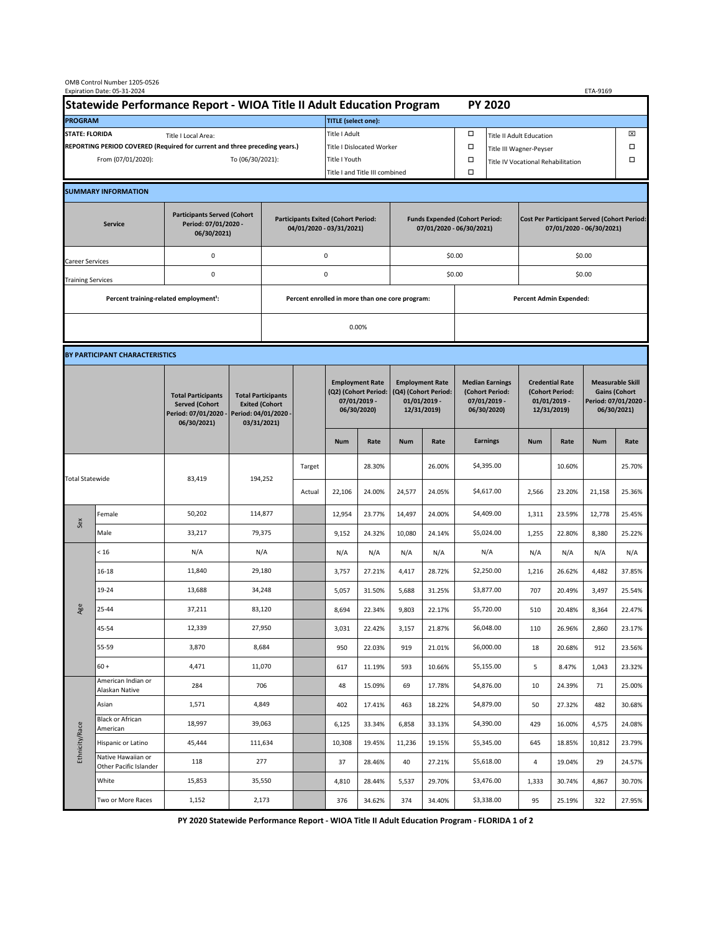| OMB Control Number 1205-0526<br>Expiration Date: 05-31-2024                                 |                                                                      |                                                                                           |                                                                                           |           |                                                          |                                                                               |                  |                                                                                 |                  |                                                                            | ETA-9169                           |                                                                                |                  |                                                                                        |                  |  |
|---------------------------------------------------------------------------------------------|----------------------------------------------------------------------|-------------------------------------------------------------------------------------------|-------------------------------------------------------------------------------------------|-----------|----------------------------------------------------------|-------------------------------------------------------------------------------|------------------|---------------------------------------------------------------------------------|------------------|----------------------------------------------------------------------------|------------------------------------|--------------------------------------------------------------------------------|------------------|----------------------------------------------------------------------------------------|------------------|--|
|                                                                                             | Statewide Performance Report - WIOA Title II Adult Education Program |                                                                                           |                                                                                           |           |                                                          |                                                                               |                  |                                                                                 |                  |                                                                            | <b>PY 2020</b>                     |                                                                                |                  |                                                                                        |                  |  |
| <b>PROGRAM</b>                                                                              |                                                                      |                                                                                           |                                                                                           |           |                                                          | TITLE (select one):                                                           |                  |                                                                                 |                  |                                                                            |                                    |                                                                                |                  |                                                                                        |                  |  |
| <b>STATE: FLORIDA</b><br>Title I Local Area:                                                |                                                                      |                                                                                           |                                                                                           |           |                                                          | Title I Adult                                                                 |                  |                                                                                 |                  | □<br><b>Title II Adult Education</b>                                       |                                    |                                                                                |                  |                                                                                        | ⊠                |  |
| REPORTING PERIOD COVERED (Required for current and three preceding years.)                  |                                                                      |                                                                                           |                                                                                           |           | <b>Title I Dislocated Worker</b>                         |                                                                               |                  |                                                                                 |                  | $\Box$                                                                     | Title III Wagner-Peyser            |                                                                                |                  |                                                                                        |                  |  |
|                                                                                             | From (07/01/2020):                                                   | To (06/30/2021):                                                                          |                                                                                           |           | Title I Youth                                            |                                                                               |                  | $\Box$                                                                          |                  |                                                                            | Title IV Vocational Rehabilitation |                                                                                |                  | □                                                                                      |                  |  |
|                                                                                             |                                                                      |                                                                                           |                                                                                           |           |                                                          | Title I and Title III combined                                                |                  |                                                                                 |                  |                                                                            | $\Box$                             |                                                                                |                  |                                                                                        |                  |  |
|                                                                                             | <b>SUMMARY INFORMATION</b>                                           |                                                                                           |                                                                                           |           |                                                          |                                                                               |                  |                                                                                 |                  |                                                                            |                                    |                                                                                |                  |                                                                                        |                  |  |
| <b>Participants Served (Cohort</b><br>Period: 07/01/2020 -<br><b>Service</b><br>06/30/2021) |                                                                      |                                                                                           |                                                                                           |           |                                                          | <b>Participants Exited (Cohort Period:</b><br>04/01/2020 - 03/31/2021)        |                  |                                                                                 |                  | <b>Funds Expended (Cohort Period:</b><br>07/01/2020 - 06/30/2021)          |                                    | <b>Cost Per Participant Served (Cohort Period:</b><br>07/01/2020 - 06/30/2021) |                  |                                                                                        |                  |  |
| Career Services                                                                             |                                                                      | 0                                                                                         |                                                                                           |           | $\mathsf 0$                                              |                                                                               |                  |                                                                                 | \$0.00           |                                                                            | \$0.00                             |                                                                                |                  |                                                                                        |                  |  |
| <b>Training Services</b>                                                                    |                                                                      | $\mathsf 0$                                                                               |                                                                                           | $\pmb{0}$ |                                                          |                                                                               |                  |                                                                                 | \$0.00           |                                                                            | \$0.00                             |                                                                                |                  |                                                                                        |                  |  |
|                                                                                             | Percent training-related employment <sup>1</sup> :                   |                                                                                           |                                                                                           |           | Percent enrolled in more than one core program:<br>0.00% |                                                                               |                  |                                                                                 |                  | <b>Percent Admin Expended:</b>                                             |                                    |                                                                                |                  |                                                                                        |                  |  |
|                                                                                             |                                                                      |                                                                                           |                                                                                           |           |                                                          |                                                                               |                  |                                                                                 |                  |                                                                            |                                    |                                                                                |                  |                                                                                        |                  |  |
|                                                                                             | BY PARTICIPANT CHARACTERISTICS                                       |                                                                                           |                                                                                           |           |                                                          |                                                                               |                  |                                                                                 |                  |                                                                            |                                    |                                                                                |                  |                                                                                        |                  |  |
|                                                                                             |                                                                      | <b>Total Participants</b><br><b>Served (Cohort</b><br>Period: 07/01/2020 -<br>06/30/2021) | <b>Total Participants</b><br><b>Exited (Cohort</b><br>Period: 04/01/2020 -<br>03/31/2021) |           |                                                          | <b>Employment Rate</b><br>(Q2) (Cohort Period:<br>07/01/2019 -<br>06/30/2020) |                  | <b>Employment Rate</b><br>(Q4) (Cohort Period:<br>$01/01/2019$ -<br>12/31/2019) |                  | <b>Median Earnings</b><br>(Cohort Period:<br>$07/01/2019 -$<br>06/30/2020) |                                    | <b>Credential Rate</b><br>(Cohort Period:<br>$01/01/2019$ -<br>12/31/2019)     |                  | <b>Measurable Skill</b><br><b>Gains (Cohort</b><br>Period: 07/01/2020 -<br>06/30/2021) |                  |  |
|                                                                                             |                                                                      |                                                                                           |                                                                                           |           |                                                          |                                                                               | Rate             | <b>Num</b>                                                                      | Rate             |                                                                            | <b>Earnings</b>                    | <b>Num</b>                                                                     | Rate             | <b>Num</b>                                                                             | Rate             |  |
| <b>Total Statewide</b>                                                                      |                                                                      | 83,419                                                                                    | 194,252                                                                                   |           | Target                                                   |                                                                               | 28.30%           |                                                                                 | 26.00%           |                                                                            | \$4,395.00                         |                                                                                | 10.60%           |                                                                                        | 25.70%           |  |
|                                                                                             |                                                                      |                                                                                           |                                                                                           |           | Actual                                                   | 22,106                                                                        | 24.00%           | 24,577                                                                          | 24.05%           |                                                                            | \$4,617.00                         | 2,566                                                                          | 23.20%           | 21,158                                                                                 | 25.36%           |  |
| Sex                                                                                         | Female                                                               | 50,202                                                                                    | 114,877                                                                                   |           |                                                          | 12,954                                                                        | 23.77%           | 14,497                                                                          | 24.00%           |                                                                            | \$4,409.00                         | 1,311                                                                          | 23.59%           | 12,778                                                                                 | 25.45%           |  |
|                                                                                             | Male                                                                 | 33,217                                                                                    | 79,375                                                                                    |           |                                                          | 9,152                                                                         | 24.32%           | 10,080                                                                          | 24.14%           |                                                                            | \$5,024.00                         | 1,255                                                                          | 22.80%           | 8,380                                                                                  | 25.22%           |  |
| Age                                                                                         | < 16                                                                 | N/A                                                                                       | N/A                                                                                       |           |                                                          | N/A                                                                           | N/A              | N/A                                                                             | N/A              |                                                                            | N/A                                | N/A                                                                            | N/A              | N/A                                                                                    | N/A              |  |
|                                                                                             | 16-18                                                                | 11,840                                                                                    | 29,180                                                                                    |           |                                                          | 3,757                                                                         | 27.21%           | 4,417                                                                           | 28.72%           |                                                                            | \$2,250.00                         | 1,216                                                                          | 26.62%           | 4,482                                                                                  | 37.85%           |  |
|                                                                                             | 19-24                                                                | 13,688                                                                                    | 34,248                                                                                    |           |                                                          | 5,057                                                                         | 31.50%           | 5,688                                                                           | 31.25%           |                                                                            | \$3,877.00                         | 707                                                                            | 20.49%           | 3,497                                                                                  | 25.54%           |  |
|                                                                                             | 25-44                                                                | 37,211                                                                                    | 83,120                                                                                    |           |                                                          | 8,694                                                                         | 22.34%           | 9,803                                                                           | 22.17%           |                                                                            | \$5,720.00                         | 510                                                                            | 20.48%           | 8,364                                                                                  | 22.47%           |  |
|                                                                                             | 45-54                                                                | 12,339                                                                                    | 27,950                                                                                    |           |                                                          | 3,031                                                                         | 22.42%           | 3,157                                                                           | 21.87%           |                                                                            | \$6,048.00                         | 110                                                                            | 26.96%           | 2,860                                                                                  | 23.17%           |  |
|                                                                                             | 55-59                                                                | 3,870                                                                                     | 8,684                                                                                     |           |                                                          | 950                                                                           | 22.03%           | 919                                                                             | 21.01%           |                                                                            | \$6,000.00                         | 18                                                                             | 20.68%           | 912                                                                                    | 23.56%           |  |
|                                                                                             | $60 +$<br>American Indian or                                         | 4,471                                                                                     | 11,070                                                                                    |           |                                                          | 617                                                                           | 11.19%           | 593                                                                             | 10.66%           |                                                                            | \$5,155.00                         | 5                                                                              | 8.47%            | 1,043                                                                                  | 23.32%           |  |
| Ethnicity/Race                                                                              | Alaskan Native                                                       | 284                                                                                       | 706                                                                                       |           |                                                          | 48                                                                            | 15.09%           | 69                                                                              | 17.78%           |                                                                            | \$4,876.00                         | 10                                                                             | 24.39%           | 71                                                                                     | 25.00%           |  |
|                                                                                             | Asian<br><b>Black or African</b>                                     | 1,571                                                                                     | 4,849                                                                                     |           |                                                          | 402                                                                           | 17.41%           | 463                                                                             | 18.22%           |                                                                            | \$4,879.00                         | 50                                                                             | 27.32%           | 482                                                                                    | 30.68%           |  |
|                                                                                             | American                                                             | 18,997                                                                                    | 39,063                                                                                    |           |                                                          | 6,125                                                                         | 33.34%           | 6,858                                                                           | 33.13%           |                                                                            | \$4,390.00                         | 429                                                                            | 16.00%           | 4,575                                                                                  | 24.08%           |  |
|                                                                                             | Hispanic or Latino<br>Native Hawaiian or                             | 45,444<br>118                                                                             | 111,634<br>277                                                                            |           |                                                          | 10,308<br>37                                                                  | 19.45%<br>28.46% | 11,236<br>40                                                                    | 19.15%<br>27.21% |                                                                            | \$5,345.00<br>\$5,618.00           | 645<br>4                                                                       | 18.85%<br>19.04% | 10,812<br>29                                                                           | 23.79%<br>24.57% |  |
|                                                                                             | Other Pacific Islander<br>White                                      | 15,853                                                                                    | 35,550                                                                                    |           |                                                          | 4,810                                                                         | 28.44%           | 5,537                                                                           | 29.70%           |                                                                            | \$3,476.00                         | 1,333                                                                          | 30.74%           | 4,867                                                                                  | 30.70%           |  |
|                                                                                             | Two or More Races                                                    | 1,152                                                                                     | 2,173                                                                                     |           |                                                          | 376                                                                           | 34.62%           | 374                                                                             | 34.40%           |                                                                            | \$3,338.00                         | 95                                                                             | 25.19%           | 322                                                                                    | 27.95%           |  |
|                                                                                             |                                                                      |                                                                                           |                                                                                           |           |                                                          |                                                                               |                  |                                                                                 |                  |                                                                            |                                    |                                                                                |                  |                                                                                        |                  |  |

 **PY 2020 Statewide Performance Report - WIOA Title II Adult Education Program - FLORIDA 1 of 2**